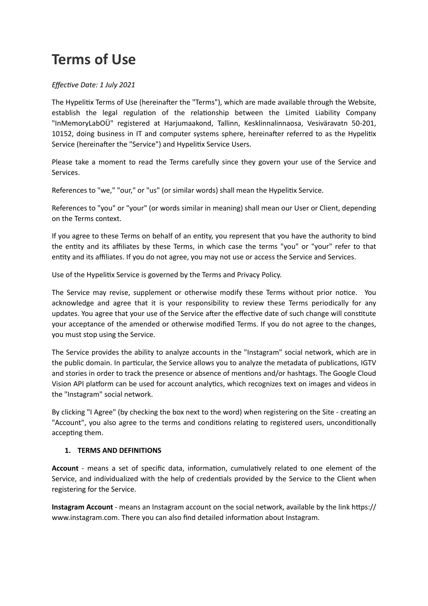# **Terms of Use**

## *Effective Date: 1 July 2021*

The Hypelitix Terms of Use (hereinafter the "Terms"), which are made available through the Website, establish the legal regulation of the relationship between the Limited Liability Company "InMemoryLabOÜ" registered at Harjumaakond, Tallinn, Kesklinnalinnaosa, Vesiväravatn 50-201, 10152, doing business in IT and computer systems sphere, hereinafter referred to as the Hypelitix Service (hereinafter the "Service") and Hypelitix Service Users.

Please take a moment to read the Terms carefully since they govern your use of the Service and Services.

References to "we," "our," or "us" (or similar words) shall mean the Hypelitix Service.

References to "you" or "your" (or words similar in meaning) shall mean our User or Client, depending on the Terms context.

If you agree to these Terms on behalf of an entity, you represent that you have the authority to bind the entity and its affiliates by these Terms, in which case the terms "you" or "your" refer to that entity and its affiliates. If you do not agree, you may not use or access the Service and Services.

Use of the Hypelitix Service is governed by the Terms and Privacy Policy.

The Service may revise, supplement or otherwise modify these Terms without prior notice. You acknowledge and agree that it is your responsibility to review these Terms periodically for any updates. You agree that your use of the Service after the effective date of such change will constitute your acceptance of the amended or otherwise modified Terms. If you do not agree to the changes, you must stop using the Service.

The Service provides the ability to analyze accounts in the "Instagram" social network, which are in the public domain. In particular, the Service allows you to analyze the metadata of publications, IGTV and stories in order to track the presence or absence of mentions and/or hashtags. The Google Cloud Vision API platform can be used for account analytics, which recognizes text on images and videos in the "Instagram" social network.

By clicking "I Agree" (by checking the box next to the word) when registering on the Site - creating an "Account", you also agree to the terms and conditions relating to registered users, unconditionally accepting them.

## **1. TERMS AND DEFINITIONS**

**Account** - means a set of specific data, information, cumulatively related to one element of the Service, and individualized with the help of credentials provided by the Service to the Client when registering for the Service.

**Instagram Account** - means an Instagram account on the social network, available by the link https:// www.instagram.com. There you can also find detailed information about Instagram.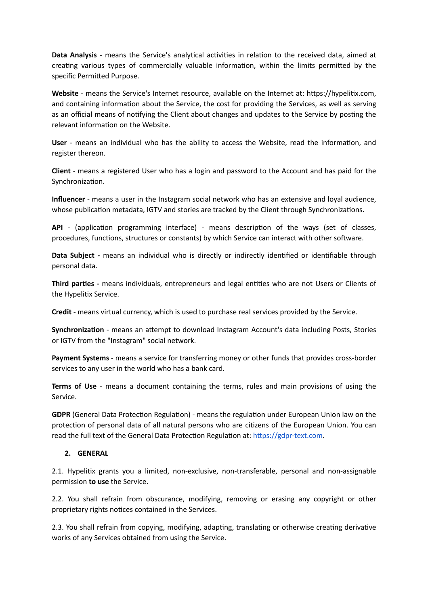**Data Analysis** - means the Service's analytical activities in relation to the received data, aimed at creating various types of commercially valuable information, within the limits permitted by the specific Permitted Purpose.

**Website** - means the Service's Internet resource, available on the Internet at: https://hypelitix.com, and containing information about the Service, the cost for providing the Services, as well as serving as an official means of notifying the Client about changes and updates to the Service by posting the relevant information on the Website.

**User** - means an individual who has the ability to access the Website, read the information, and register thereon.

**Client** - means a registered User who has a login and password to the Account and has paid for the Synchronization.

**Influencer** - means a user in the Instagram social network who has an extensive and loyal audience, whose publication metadata, IGTV and stories are tracked by the Client through Synchronizations.

**API** - (application programming interface) - means description of the ways (set of classes, procedures, functions, structures or constants) by which Service can interact with other software.

**Data Subject -** means an individual who is directly or indirectly identified or identifiable through personal data.

**Third parties -** means individuals, entrepreneurs and legal entities who are not Users or Clients of the Hypelitix Service.

**Credit** - means virtual currency, which is used to purchase real services provided by the Service.

**Synchronization** - means an attempt to download Instagram Account's data including Posts, Stories or IGTV from the "Instagram" social network.

**Payment Systems** - means a service for transferring money or other funds that provides cross-border services to any user in the world who has a bank card.

**Terms of Use** - means a document containing the terms, rules and main provisions of using the Service.

**GDPR** (General Data Protection Regulation) - means the regulation under European Union law on the protection of personal data of all natural persons who are citizens of the European Union. You can read the full text of the General Data Protection Regulation at: [https://gdpr-text.com.](https://gdpr-text.com)

## **2. GENERAL**

2.1. Hypelitix grants you a limited, non-exclusive, non-transferable, personal and non-assignable permission **to use** the Service.

2.2. You shall refrain from obscurance, modifying, removing or erasing any copyright or other proprietary rights notices contained in the Services.

2.3. You shall refrain from copying, modifying, adapting, translating or otherwise creating derivative works of any Services obtained from using the Service.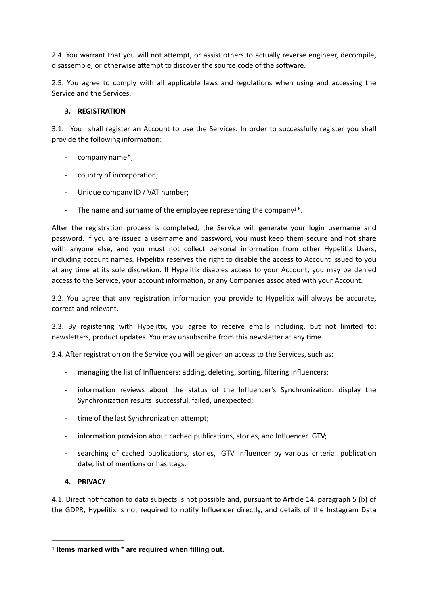2.4. You warrant that you will not attempt, or assist others to actually reverse engineer, decompile, disassemble, or otherwise attempt to discover the source code of the software.

2.5. You agree to comply with all applicable laws and regulations when using and accessing the Service and the Services.

## **3. REGISTRATION**

3.1. You shall register an Account to use the Services. In order to successfully register you shall provide the following information:

- company name\*;
- country of incorporation;
- Unique company ID / VAT number;
- <span id="page-2-1"></span>- The name and surname of the employee representing the company  $1^*$  $1^*$ .

After the registration process is completed, the Service will generate your login username and password. If you are issued a username and password, you must keep them secure and not share with anyone else, and you must not collect personal information from other Hypelitix Users, including account names. Hypelitix reserves the right to disable the access to Account issued to you at any time at its sole discretion. If Hypelitix disables access to your Account, you may be denied access to the Service, your account information, or any Companies associated with your Account.

3.2. You agree that any registration information you provide to Hypelitix will always be accurate, correct and relevant.

3.3. By registering with Hypelitix, you agree to receive emails including, but not limited to: newsletters, product updates. You may unsubscribe from this newsletter at any time.

3.4. After registration on the Service you will be given an access to the Services, such as:

- managing the list of Influencers: adding, deleting, sorting, filtering Influencers;
- information reviews about the status of the Influencer's Synchronization: display the Synchronization results: successful, failed, unexpected;
- time of the last Synchronization attempt;
- information provision about cached publications, stories, and Influencer IGTV;
- searching of cached publications, stories, IGTV Influencer by various criteria: publication date, list of mentions or hashtags.

## **4. PRIVACY**

4.1. Direct notification to data subjects is not possible and, pursuant to Article 14. paragraph 5 (b) of the GDPR, Hypelitix is not required to notify Influencer directly, and details of the Instagram Data

<span id="page-2-0"></span><sup>&</sup>lt;sup>[1](#page-2-1)</sup> Items marked with \* are required when filling out.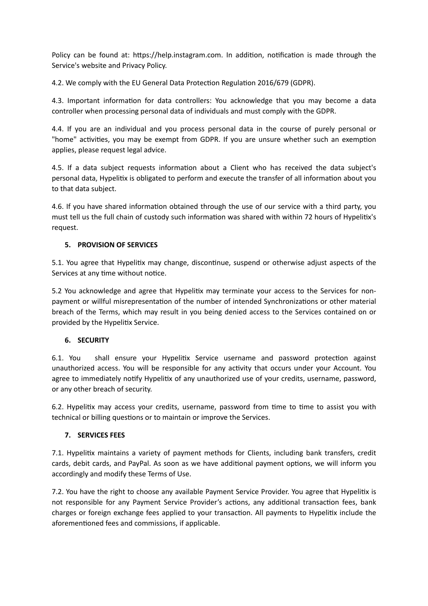Policy can be found at: https://help.instagram.com. In addition, notification is made through the Service's website and Privacy Policy.

4.2. We comply with the EU General Data Protection Regulation 2016/679 (GDPR).

4.3. Important information for data controllers: You acknowledge that you may become a data controller when processing personal data of individuals and must comply with the GDPR.

4.4. If you are an individual and you process personal data in the course of purely personal or "home" activities, you may be exempt from GDPR. If you are unsure whether such an exemption applies, please request legal advice.

4.5. If a data subject requests information about a Client who has received the data subject's personal data, Hypelitix is obligated to perform and execute the transfer of all information about you to that data subject.

4.6. If you have shared information obtained through the use of our service with a third party, you must tell us the full chain of custody such information was shared with within 72 hours of Hypelitix's request.

## **5. PROVISION OF SERVICES**

5.1. You agree that Hypelitix may change, discontinue, suspend or otherwise adjust aspects of the Services at any time without notice.

5.2 You acknowledge and agree that Hypelitix may terminate your access to the Services for nonpayment or willful misrepresentation of the number of intended Synchronizations or other material breach of the Terms, which may result in you being denied access to the Services contained on or provided by the Hypelitix Service.

## **6. SECURITY**

6.1. You shall ensure your Hypelitix Service username and password protection against unauthorized access. You will be responsible for any activity that occurs under your Account. You agree to immediately notify Hypelitix of any unauthorized use of your credits, username, password, or any other breach of security.

6.2. Hypelitix may access your credits, username, password from time to time to assist you with technical or billing questions or to maintain or improve the Services.

## **7. SERVICES FEES**

7.1. Hypelitix maintains a variety of payment methods for Clients, including bank transfers, credit cards, debit cards, and PayPal. As soon as we have additional payment options, we will inform you accordingly and modify these Terms of Use.

7.2. You have the right to choose any available Payment Service Provider. You agree that Hypelitix is not responsible for any Payment Service Provider's actions, any additional transaction fees, bank charges or foreign exchange fees applied to your transaction. All payments to Hypelitix include the aforementioned fees and commissions, if applicable.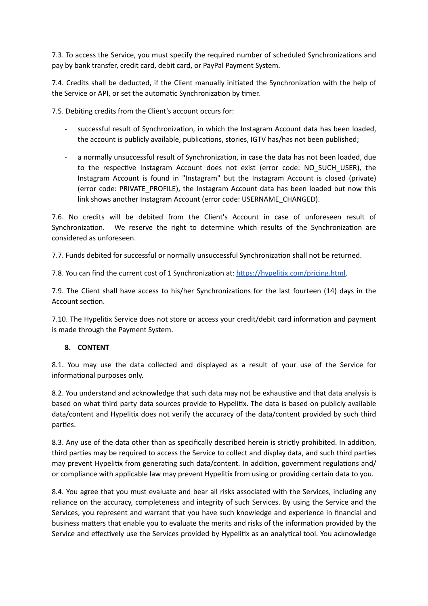7.3. To access the Service, you must specify the required number of scheduled Synchronizations and pay by bank transfer, credit card, debit card, or PayPal Payment System.

7.4. Сredits shall be deducted, if the Client manually initiated the Synchronization with the help of the Service or API, or set the automatic Synchronization by timer.

7.5. Debiting credits from the Client's account occurs for:

- successful result of Synchronization, in which the Instagram Account data has been loaded, the account is publicly available, publications, stories, IGTV has/has not been published;
- a normally unsuccessful result of Synchronization, in case the data has not been loaded, due to the respective Instagram Account does not exist (error code: NO\_SUCH\_USER), the Instagram Account is found in "Instagram" but the Instagram Account is closed (private) (error code: PRIVATE\_PROFILE), the Instagram Account data has been loaded but now this link shows another Instagram Account (error code: USERNAME\_CHANGED).

7.6. No credits will be debited from the Client's Account in case of unforeseen result of Synchronization. We reserve the right to determine which results of the Synchronization are considered as unforeseen.

7.7. Funds debited for successful or normally unsuccessful Synchronization shall not be returned.

7.8. You can find the current cost of 1 Synchronization at: <https://hypelitix.com/pricing.html>.

7.9. The Client shall have access to his/her Synchronizations for the last fourteen (14) days in the Account section.

7.10. The Hypelitix Service does not store or access your credit/debit card information and payment is made through the Payment System.

#### **8. CONTENT**

8.1. You may use the data collected and displayed as a result of your use of the Service for informational purposes only.

8.2. You understand and acknowledge that such data may not be exhaustive and that data analysis is based on what third party data sources provide to Hypelitix. The data is based on publicly available data/content and Hypelitix does not verify the accuracy of the data/content provided by such third parties.

8.3. Any use of the data other than as specifically described herein is strictly prohibited. In addition, third parties may be required to access the Service to collect and display data, and such third parties may prevent Hypelitix from generating such data/content. In addition, government regulations and/ or compliance with applicable law may prevent Hypelitix from using or providing certain data to you.

8.4. You agree that you must evaluate and bear all risks associated with the Services, including any reliance on the accuracy, completeness and integrity of such Services. By using the Service and the Services, you represent and warrant that you have such knowledge and experience in financial and business matters that enable you to evaluate the merits and risks of the information provided by the Service and effectively use the Services provided by Hypelitix as an analytical tool. You acknowledge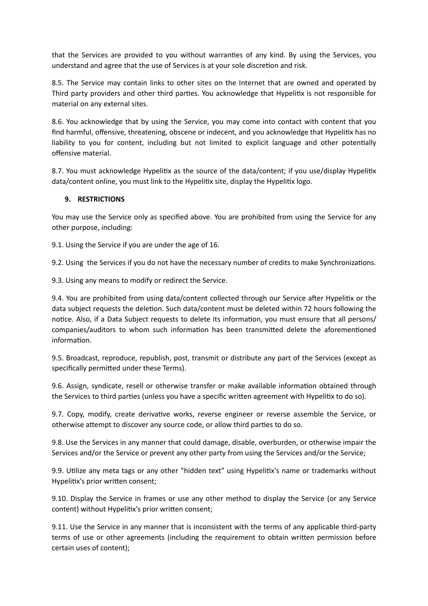that the Services are provided to you without warranties of any kind. By using the Services, you understand and agree that the use of Services is at your sole discretion and risk.

8.5. The Service may contain links to other sites on the Internet that are owned and operated by Third party providers and other third parties. You acknowledge that Hypelitix is not responsible for material on any external sites.

8.6. You acknowledge that by using the Service, you may come into contact with content that you find harmful, offensive, threatening, obscene or indecent, and you acknowledge that Hypelitix has no liability to you for content, including but not limited to explicit language and other potentially offensive material.

8.7. You must acknowledge Hypelitix as the source of the data/content; if you use/display Hypelitix data/content online, you must link to the Hypelitix site, display the Hypelitix logo.

### **9. RESTRICTIONS**

You may use the Service only as specified above. You are prohibited from using the Service for any other purpose, including:

9.1. Using the Service if you are under the age of 16.

9.2. Using the Services if you do not have the necessary number of credits to make Synchronizations.

9.3. Using any means to modify or redirect the Service.

9.4. You are prohibited from using data/content collected through our Service after Hypelitix or the data subject requests the deletion. Such data/content must be deleted within 72 hours following the notice. Also, if a Data Subject requests to delete its information, you must ensure that all persons/ companies/auditors to whom such information has been transmitted delete the aforementioned information.

9.5. Broadcast, reproduce, republish, post, transmit or distribute any part of the Services (except as specifically permitted under these Terms).

9.6. Assign, syndicate, resell or otherwise transfer or make available information obtained through the Services to third parties (unless you have a specific written agreement with Hypelitix to do so).

9.7. Copy, modify, create derivative works, reverse engineer or reverse assemble the Service, or otherwise attempt to discover any source code, or allow third parties to do so.

9.8. Use the Services in any manner that could damage, disable, overburden, or otherwise impair the Services and/or the Service or prevent any other party from using the Services and/or the Service;

9.9. Utilize any meta tags or any other "hidden text" using Hypelitix's name or trademarks without Hypelitix's prior written consent;

9.10. Display the Service in frames or use any other method to display the Service (or any Service content) without Hypelitix's prior written consent;

9.11. Use the Service in any manner that is inconsistent with the terms of any applicable third-party terms of use or other agreements (including the requirement to obtain written permission before certain uses of content);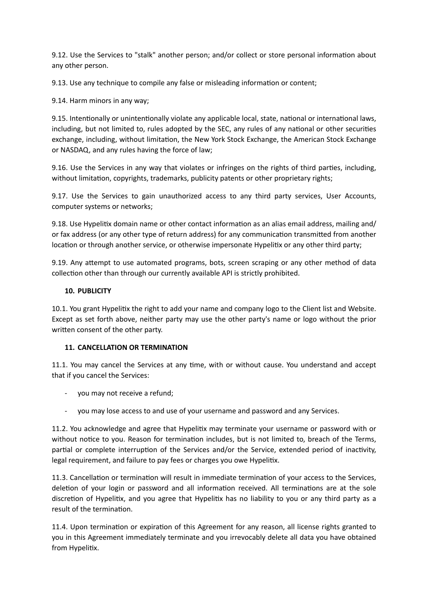9.12. Use the Services to "stalk" another person; and/or collect or store personal information about any other person.

9.13. Use any technique to compile any false or misleading information or content;

9.14. Harm minors in any way;

9.15. Intentionally or unintentionally violate any applicable local, state, national or international laws, including, but not limited to, rules adopted by the SEC, any rules of any national or other securities exchange, including, without limitation, the New York Stock Exchange, the American Stock Exchange or NASDAQ, and any rules having the force of law;

9.16. Use the Services in any way that violates or infringes on the rights of third parties, including, without limitation, copyrights, trademarks, publicity patents or other proprietary rights;

9.17. Use the Services to gain unauthorized access to any third party services, User Accounts, computer systems or networks;

9.18. Use Hypelitix domain name or other contact information as an alias email address, mailing and/ or fax address (or any other type of return address) for any communication transmitted from another location or through another service, or otherwise impersonate Hypelitix or any other third party;

9.19. Any attempt to use automated programs, bots, screen scraping or any other method of data collection other than through our currently available API is strictly prohibited.

## **10. PUBLICITY**

10.1. You grant Hypelitix the right to add your name and company logo to the Client list and Website. Except as set forth above, neither party may use the other party's name or logo without the prior written consent of the other party.

## **11. CANCELLATION OR TERMINATION**

11.1. You may cancel the Services at any time, with or without cause. You understand and accept that if you cancel the Services:

- you may not receive a refund;
- you may lose access to and use of your username and password and any Services.

11.2. You acknowledge and agree that Hypelitix may terminate your username or password with or without notice to you. Reason for termination includes, but is not limited to, breach of the Terms, partial or complete interruption of the Services and/or the Service, extended period of inactivity, legal requirement, and failure to pay fees or charges you owe Hypelitix.

11.3. Cancellation or termination will result in immediate termination of your access to the Services, deletion of your login or password and all information received. All terminations are at the sole discretion of Hypelitix, and you agree that Hypelitix has no liability to you or any third party as a result of the termination.

11.4. Upon termination or expiration of this Agreement for any reason, all license rights granted to you in this Agreement immediately terminate and you irrevocably delete all data you have obtained from Hypelitix.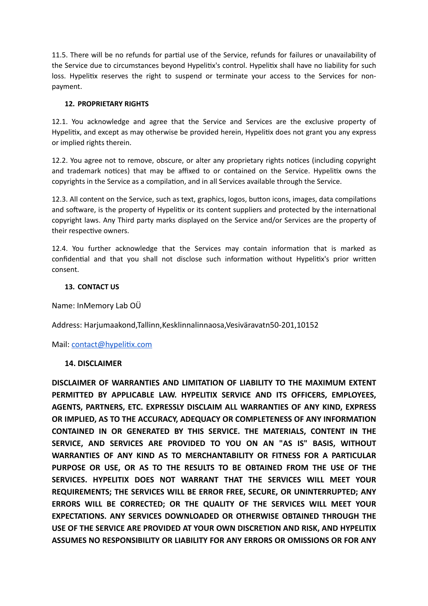11.5. There will be no refunds for partial use of the Service, refunds for failures or unavailability of the Service due to circumstances beyond Hypelitix's control. Hypelitix shall have no liability for such loss. Hypelitix reserves the right to suspend or terminate your access to the Services for nonpayment.

## **12. PROPRIETARY RIGHTS**

12.1. You acknowledge and agree that the Service and Services are the exclusive property of Hypelitix, and except as may otherwise be provided herein, Hypelitix does not grant you any express or implied rights therein.

12.2. You agree not to remove, obscure, or alter any proprietary rights notices (including copyright and trademark notices) that may be affixed to or contained on the Service. Hypelitix owns the copyrights in the Service as a compilation, and in all Services available through the Service.

12.3. All content on the Service, such as text, graphics, logos, button icons, images, data compilations and software, is the property of Hypelitix or its content suppliers and protected by the international copyright laws. Any Third party marks displayed on the Service and/or Services are the property of their respective owners.

12.4. You further acknowledge that the Services may contain information that is marked as confidential and that you shall not disclose such information without Hypelitix's prior written consent.

## **13. CONTACT US**

Name: InMemory Lab OÜ

Address: Harjumaakond,Tallinn,Kesklinnalinnaosa,Vesiväravatn50-201,10152

Mail: [contact@hypelitix.com](mailto:contact@hypelitix.com)

## **14. DISCLAIMER**

**DISCLAIMER OF WARRANTIES AND LIMITATION OF LIABILITY TO THE MAXIMUM EXTENT PERMITTED BY APPLICABLE LAW. HYPELITIX SERVICE AND ITS OFFICERS, EMPLOYEES, AGENTS, PARTNERS, ETC. EXPRESSLY DISCLAIM ALL WARRANTIES OF ANY KIND, EXPRESS OR IMPLIED, AS TO THE ACCURACY, ADEQUACY OR COMPLETENESS OF ANY INFORMATION CONTAINED IN OR GENERATED BY THIS SERVICE. THE MATERIALS, CONTENT IN THE SERVICE, AND SERVICES ARE PROVIDED TO YOU ON AN "AS IS" BASIS, WITHOUT WARRANTIES OF ANY KIND AS TO MERCHANTABILITY OR FITNESS FOR A PARTICULAR PURPOSE OR USE, OR AS TO THE RESULTS TO BE OBTAINED FROM THE USE OF THE SERVICES. HYPELITIX DOES NOT WARRANT THAT THE SERVICES WILL MEET YOUR REQUIREMENTS; THE SERVICES WILL BE ERROR FREE, SECURE, OR UNINTERRUPTED; ANY ERRORS WILL BE CORRECTED; OR THE QUALITY OF THE SERVICES WILL MEET YOUR EXPECTATIONS. ANY SERVICES DOWNLOADED OR OTHERWISE OBTAINED THROUGH THE USE OF THE SERVICE ARE PROVIDED AT YOUR OWN DISCRETION AND RISK, AND HYPELITIX ASSUMES NO RESPONSIBILITY OR LIABILITY FOR ANY ERRORS OR OMISSIONS OR FOR ANY**